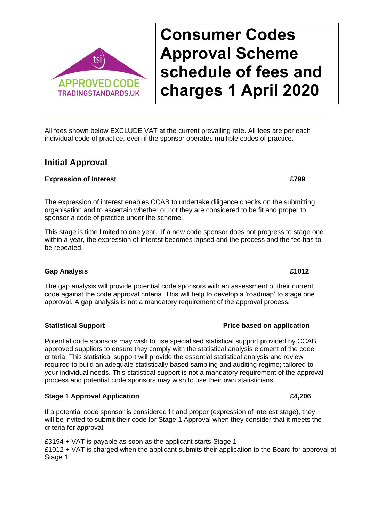### All fees shown below EXCLUDE VAT at the current prevailing rate. All fees are per each individual code of practice, even if the sponsor operates multiple codes of practice.

# **Initial Approval**

### **Expression of Interest £799**

The expression of interest enables CCAB to undertake diligence checks on the submitting organisation and to ascertain whether or not they are considered to be fit and proper to sponsor a code of practice under the scheme.

This stage is time limited to one year. If a new code sponsor does not progress to stage one within a year, the expression of interest becomes lapsed and the process and the fee has to be repeated.

### **Gap Analysis £1012**

The gap analysis will provide potential code sponsors with an assessment of their current code against the code approval criteria. This will help to develop a 'roadmap' to stage one approval. A gap analysis is not a mandatory requirement of the approval process.

Potential code sponsors may wish to use specialised statistical support provided by CCAB approved suppliers to ensure they comply with the statistical analysis element of the code criteria. This statistical support will provide the essential statistical analysis and review required to build an adequate statistically based sampling and auditing regime; tailored to your individual needs. This statistical support is not a mandatory requirement of the approval process and potential code sponsors may wish to use their own statisticians.

### **Stage 1 Approval Application £4,206**

If a potential code sponsor is considered fit and proper (expression of interest stage), they will be invited to submit their code for Stage 1 Approval when they consider that it meets the criteria for approval.

£3194 + VAT is payable as soon as the applicant starts Stage 1 £1012 + VAT is charged when the applicant submits their application to the Board for approval at Stage 1.

# **Consumer Codes Approval Scheme schedule of fees and charges 1 April 2020**



### **Statistical Support Price based on application**